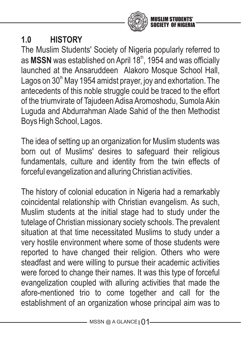

# **1.0 HISTORY**

The Muslim Students' Society of Nigeria popularly referred to as MSSN was established on April 18<sup>th</sup>, 1954 and was officially launched at the Ansaruddeen Alakoro Mosque School Hall, Lagos on  $30<sup>th</sup>$  May 1954 amidst prayer, joy and exhortation. The antecedents of this noble struggle could be traced to the effort of the triumvirate of Tajudeen Adisa Aromoshodu, Sumola Akin Luguda and Abdurrahman Alade Sahid of the then Methodist Boys High School, Lagos.

The idea of setting up an organization for Muslim students was born out of Muslims' desires to safeguard their religious fundamentals, culture and identity from the twin effects of forceful evangelization and alluring Christian activities.

The history of colonial education in Nigeria had a remarkably coincidental relationship with Christian evangelism. As such, Muslim students at the initial stage had to study under the tutelage of Christian missionary society schools. The prevalent situation at that time necessitated Muslims to study under a very hostile environment where some of those students were reported to have changed their religion. Others who were steadfast and were willing to pursue their academic activities were forced to change their names. It was this type of forceful evangelization coupled with alluring activities that made the afore-mentioned trio to come together and call for the establishment of an organization whose principal aim was to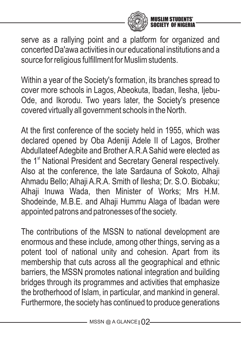

serve as a rallying point and a platform for organized and concerted Da'awa activities in our educational institutions and a source for religious fulfillment for Muslim students.

Within a year of the Society's formation, its branches spread to cover more schools in Lagos, Abeokuta, Ibadan, llesha, Ijebu-Ode, and Ikorodu. Two years later, the Society's presence covered virtually all government schools in the North.

At the first conference of the society held in 1955, which was declared opened by Oba Adeniji Adele II of Lagos, Brother Abdullateef Adegbite and Brother A.R.A Sahid were elected as the 1<sup>st</sup> National President and Secretary General respectively. Also at the conference, the late Sardauna of Sokoto, Alhaji Ahmadu Bello; Alhaji A.R.A. Smith of Ilesha; Dr. S.O. Biobaku; Alhaji Inuwa Wada, then Minister of Works; Mrs H.M. Shodeinde, M.B.E. and Alhaii Hummu Alaga of Ibadan were appointed patrons and patronesses of the society.

The contributions of the MSSN to national development are enormous and these include, among other things, serving as a potent tool of national unity and cohesion. Apart from its membership that cuts across all the geographical and ethnic barriers, the MSSN promotes national integration and building bridges through its programmes and activities that emphasize the brotherhood of Islam, in particular, and mankind in general. Furthermore, the society has continued to produce generations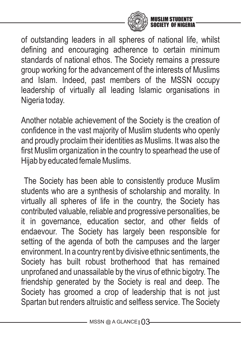

of outstanding leaders in all spheres of national life, whilst defining and encouraging adherence to certain minimum standards of national ethos. The Society remains a pressure group working for the advancement of the interests of Muslims and Islam. Indeed, past members of the MSSN occupy leadership of virtually all leading Islamic organisations in Nigeria today.

Another notable achievement of the Society is the creation of confidence in the vast majority of Muslim students who openly and proudly proclaim their identities as Muslims. It was also the first Muslim organization in the country to spearhead the use of Hijab by educated female Muslims.

The Society has been able to consistently produce Muslim students who are a synthesis of scholarship and morality. In virtually all spheres of life in the country, the Society has contributed valuable, reliable and progressive personalities, be it in governance, education sector, and other fields of endaevour. The Society has largely been responsible for setting of the agenda of both the campuses and the larger environment. In a country rent by divisive ethnic sentiments, the Society has built robust brotherhood that has remained unprofaned and unassailable by the virus of ethnic bigotry. The friendship generated by the Society is real and deep. The Society has groomed a crop of leadership that is not just Spartan but renders altruistic and selfless service. The Society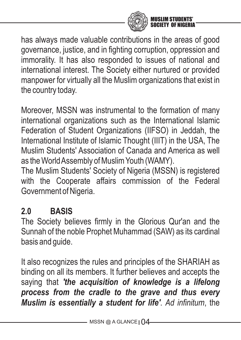

has always made valuable contributions in the areas of good governance, justice, and in fighting corruption, oppression and immorality. It has also responded to issues of national and international interest. The Society either nurtured or provided manpower for virtually all the Muslim organizations that exist in the country today.

Moreover, MSSN was instrumental to the formation of many international organizations such as the International Islamic Federation of Student Organizations (IIFSO) in Jeddah, the International Institute of Islamic Thought (IIIT) in the USA, The Muslim Students' Association of Canada and America as well as the World Assembly of Muslim Youth (WAMY).

The Muslim Students' Society of Nigeria (MSSN) is registered with the Cooperate affairs commission of the Federal Government of Nigeria.

# **2.0 BASIS**

The Society believes firmly in the Glorious Qur'an and the Sunnah of the noble Prophet Muhammad (SAW) as its cardinal basis and guide.

It also recognizes the rules and principles of the SHARIAH as binding on all its members. It further believes and accepts the saying that *'the acquisition of knowledge is a lifelong process from the cradle to the grave and thus every Muslim is essentially a student for life'*. *Ad infinitum*, the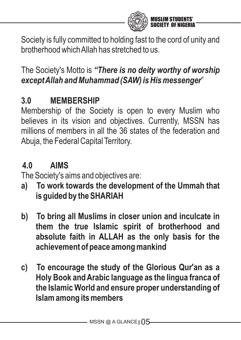

Society is fully committed to holding fast to the cord of unity and brotherhood which Allah has stretched to us.

## The Society's Motto is *"There is no deity worthy of worship except Allah and Muhammad (SAW) is His messenger*"

# **3.0 MEMBERSHIP**

Membership of the Society is open to every Muslim who believes in its vision and objectives. Currently, MSSN has millions of members in all the 36 states of the federation and Abuja, the Federal Capital Territory.

# **4.0 AIMS**

The Society's aims and objectives are:

- **a) To work towards the development of the Ummah that is guided by the SHARIAH**
- **b) To bring all Muslims in closer union and inculcate in them the true Islamic spirit of brotherhood and absolute faith in ALLAH as the only basis for the achievement of peace among mankind**
- **c) To encourage the study of the Glorious Qur'an as a Holy Book and Arabic language as the lingua franca of the Islamic World and ensure proper understanding of Islam among its members**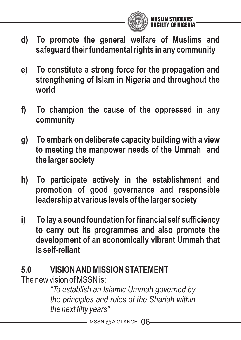

- **d) To promote the general welfare of Muslims and safeguard their fundamental rights in any community**
- **e) To constitute a strong force for the propagation and strengthening of Islam in Nigeria and throughout the world**
- **f) To champion the cause of the oppressed in any community**
- **g) To embark on deliberate capacity building with a view to meeting the manpower needs of the Ummah and the larger society**
- **h) To participate actively in the establishment and promotion of good governance and responsible leadership at various levels of the larger society**
- **i) To lay a sound foundation for financial self sufficiency to carry out its programmes and also promote the development of an economically vibrant Ummah that is self-reliant**

# **5.0 VISION AND MISSION STATEMENT**

The new vision of MSSN is:

*"To establish an Islamic Ummah governed by the principles and rules of the Shariah within the next fifty years"*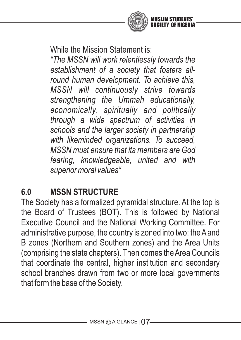

While the Mission Statement is:

*"The MSSN will work relentlessly towards the establishment of a society that fosters allround human development. To achieve this, MSSN will continuously strive towards strengthening the Ummah educationally, economically, spiritually and politically through a wide spectrum of activities in schools and the larger society in partnership with likeminded organizations. To succeed, MSSN must ensure that its members are God fearing, knowledgeable, united and with superior moral values"*

# **6.0 MSSN STRUCTURE**

The Society has a formalized pyramidal structure. At the top is the Board of Trustees (BOT). This is followed by National Executive Council and the National Working Committee. For administrative purpose, the country is zoned into two: the Aand B zones (Northern and Southern zones) and the Area Units (comprising the state chapters). Then comes the Area Councils that coordinate the central, higher institution and secondary school branches drawn from two or more local governments that form the base of the Society.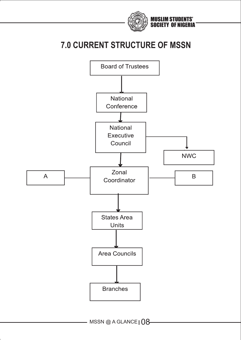

### **7.0 CURRENT STRUCTURE OF MSSN**



 $-$  MSSN @ A GLANCE  $08$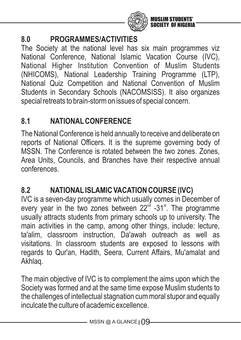

#### **8.0 PROGRAMMES/ACTIVITIES**

The Society at the national level has six main programmes viz National Conference, National Islamic Vacation Course (IVC), National Higher Institution Convention of Muslim Students (NHICOMS), National Leadership Training Programme (LTP), National Quiz Competition and National Convention of Muslim Students in Secondary Schools (NACOMSISS). It also organizes special retreats to brain-storm on issues of special concern.

#### **8.1 NATIONALCONFERENCE**

The National Conference is held annually to receive and deliberate on reports of National Officers. It is the supreme governing body of MSSN. The Conference is rotated between the two zones. Zones, Area Units, Councils, and Branches have their respective annual conferences.

#### **8.2 NATIONALISLAMIC VACATION COURSE (IVC)**

IVC is a seven-day programme which usually comes in December of every year in the two zones between  $22<sup>nd</sup>$  -31<sup>st</sup>. The programme usually attracts students from primary schools up to university. The main activities in the camp, among other things, include: lecture, ta'alim, classroom instruction, Da'awah outreach as well as visitations. In classroom students are exposed to lessons with regards to Qur'an, Hadith, Seera, Current Affairs, Mu'amalat and Akhlaq.

The main objective of IVC is to complement the aims upon which the Society was formed and at the same time expose Muslim students to the challenges of intellectual stagnation cum moral stupor and equally inculcate the culture of academic excellence.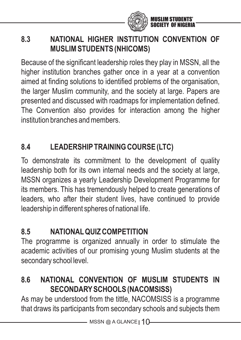

### **8.3 NATIONAL HIGHER INSTITUTION CONVENTION OF MUSLIM STUDENTS (NHICOMS)**

Because of the significant leadership roles they play in MSSN, all the higher institution branches gather once in a year at a convention aimed at finding solutions to identified problems of the organisation, the larger Muslim community, and the society at large. Papers are presented and discussed with roadmaps for implementation defined. The Convention also provides for interaction among the higher institution branches and members.

### **8.4 LEADERSHIPTRAINING COURSE (LTC)**

To demonstrate its commitment to the development of quality leadership both for its own internal needs and the society at large, MSSN organizes a yearly Leadership Development Programme for its members. This has tremendously helped to create generations of leaders, who after their student lives, have continued to provide leadership in different spheres of national life.

#### **8.5 NATIONALQUIZ COMPETITION**

The programme is organized annually in order to stimulate the academic activities of our promising young Muslim students at the secondary school level.

### **8.6 NATIONAL CONVENTION OF MUSLIM STUDENTS IN SECONDARYSCHOOLS (NACOMSISS)**

As may be understood from the tittle, NACOMSISS is a programme that draws its participants from secondary schools and subjects them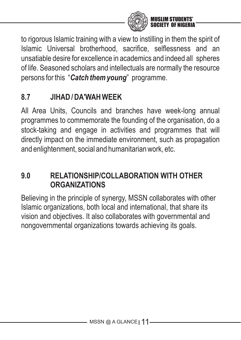

to rigorous Islamic training with a view to instilling in them the spirit of Islamic Universal brotherhood, sacrifice, selflessness and an unsatiable desire for excellence in academics and indeed all spheres of life. Seasoned scholars and intellectuals are normally the resource persons for this "*Catch them young*" programme.

### **8.7 JIHAD / DA'WAH WEEK**

All Area Units, Councils and branches have week-long annual programmes to commemorate the founding of the organisation, do a stock-taking and engage in activities and programmes that will directly impact on the immediate environment, such as propagation and enlightenment, social and humanitarian work, etc.

#### **9.0 RELATIONSHIP/COLLABORATION WITH OTHER ORGANIZATIONS**

Believing in the principle of synergy, MSSN collaborates with other Islamic organizations, both local and international, that share its vision and objectives. It also collaborates with governmental and nongovernmental organizations towards achieving its goals.